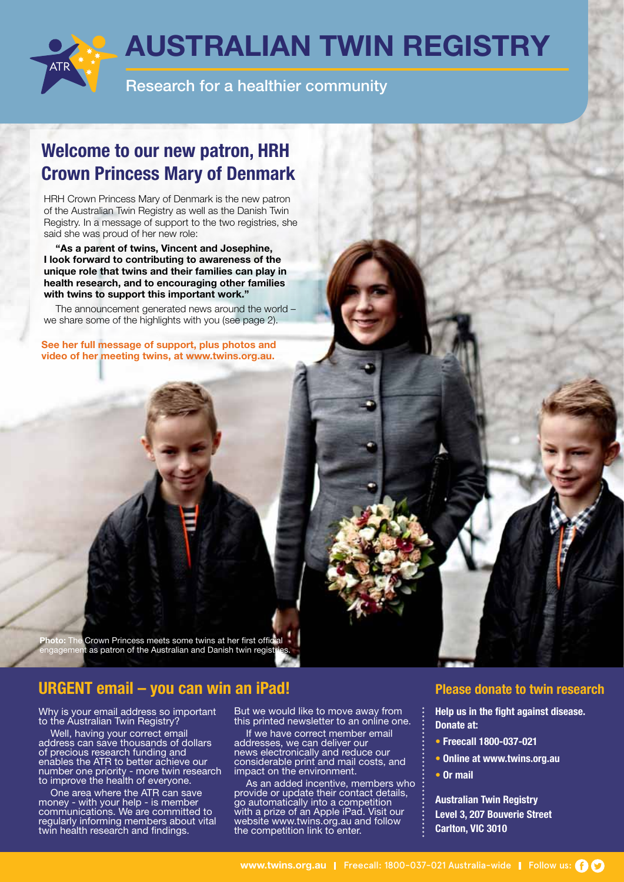

# **Welcome to our new patron, HRH Crown Princess Mary of Denmark**

HRH Crown Princess Mary of Denmark is the new patron of the Australian Twin Registry as well as the Danish Twin Registry. In a message of support to the two registries, she said she was proud of her new role:

**"As a parent of twins, Vincent and Josephine, I look forward to contributing to awareness of the unique role that twins and their families can play in health research, and to encouraging other families with twins to support this important work."**

The announcement generated news around the world – we share some of the highlights with you (see page 2).

**See her full message of support, plus photos and video of her meeting twins, at www.twins.org.au.**

**Photo:** Crown Princess meets some twins at her first official as patron of the Australian and Danish twin regist

## **URGENT email – you can win an iPad! Please donate to twin research**

Why is your email address so important to the Australian Twin Registry?

Well, having your correct email address can save thousands of dollars of precious research funding and enables the ATR to better achieve our number one priority - more twin research to improve the health of everyone.

One area where the ATR can save money - with your help - is member communications. We are committed to regularly informing members about vital twin health research and findings.

But we would like to move away from this printed newsletter to an online one.

If we have correct member email addresses, we can deliver our news electronically and reduce our considerable print and mail costs, and impact on the environment.

As an added incentive, members who provide or update their contact details, go automatically into a competition with a prize of an Apple iPad. Visit our website www.twins.org.au and follow the competition link to enter.

**Help us in the fight against disease. Donate at:**

- **Freecall 1800-037-021**
- **Online at www.twins.org.au**
- **Or mail**

**Australian Twin Registry Level 3, 207 Bouverie Street Carlton, VIC 3010**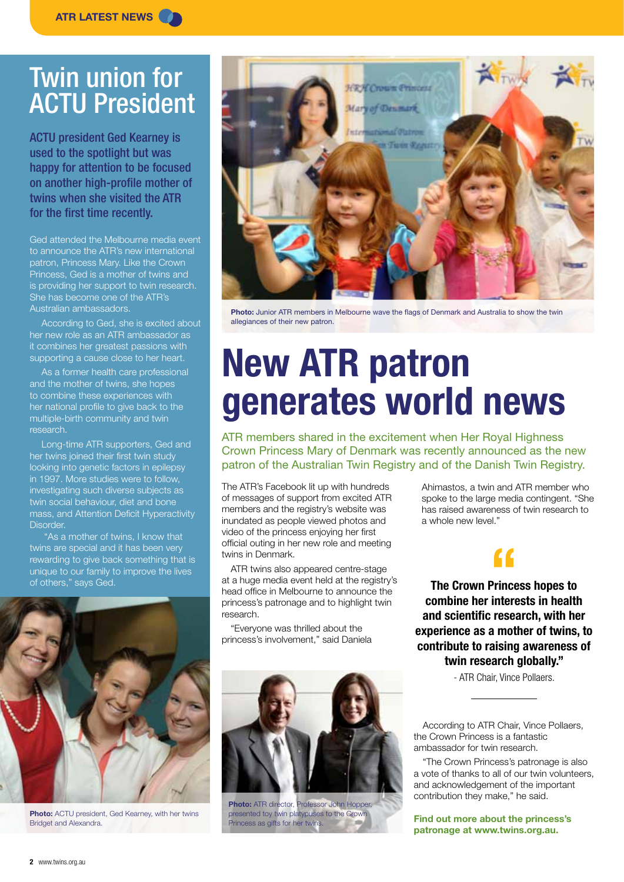# Twin union for ACTU President

ACTU president Ged Kearney is used to the spotlight but was happy for attention to be focused on another high-profile mother of twins when she visited the ATR for the first time recently.

Ged attended the Melbourne media event to announce the ATR's new international patron, Princess Mary. Like the Crown Princess, Ged is a mother of twins and is providing her support to twin research. She has become one of the ATR's Australian ambassadors.

According to Ged, she is excited about her new role as an ATR ambassador as it combines her greatest passions with supporting a cause close to her heart.

As a former health care professional and the mother of twins, she hopes to combine these experiences with her national profile to give back to the multiple-birth community and twin research.

Long-time ATR supporters, Ged and her twins joined their first twin study looking into genetic factors in epilepsy in 1997. More studies were to follow, investigating such diverse subjects as twin social behaviour, diet and bone mass, and Attention Deficit Hyperactivity Disorder.

 "As a mother of twins, I know that twins are special and it has been very rewarding to give back something that is unique to our family to improve the lives of others," says Ged.



**Photo:** ACTU president, Ged Kearney, with her twins Bridget and Alexandra.



**Photo:** Junior ATR members in Melbourne wave the flags of Denmark and Australia to show the twin allegiances of their new patron.

# **New ATR patron generates world news**

ATR members shared in the excitement when Her Royal Highness Crown Princess Mary of Denmark was recently announced as the new patron of the Australian Twin Registry and of the Danish Twin Registry.

The ATR's Facebook lit up with hundreds of messages of support from excited ATR members and the registry's website was inundated as people viewed photos and video of the princess enjoying her first official outing in her new role and meeting twins in Denmark.

ATR twins also appeared centre-stage at a huge media event held at the registry's head office in Melbourne to announce the princess's patronage and to highlight twin research.

"Everyone was thrilled about the princess's involvement," said Daniela



**Photo:** ATR director, Professor John Hopper, presented toy twin platypuses to the Crown Princess as gifts for her twins.

Ahimastos, a twin and ATR member who spoke to the large media contingent. "She has raised awareness of twin research to a whole new level."

**The Crown Princess hopes to f**<br>Prince **combine her interests in health and scientific research, with her experience as a mother of twins, to contribute to raising awareness of twin research globally."** 

- ATR Chair, Vince Pollaers.

According to ATR Chair, Vince Pollaers, the Crown Princess is a fantastic ambassador for twin research.

"The Crown Princess's patronage is also a vote of thanks to all of our twin volunteers, and acknowledgement of the important contribution they make," he said.

**Find out more about the princess's patronage at www.twins.org.au.**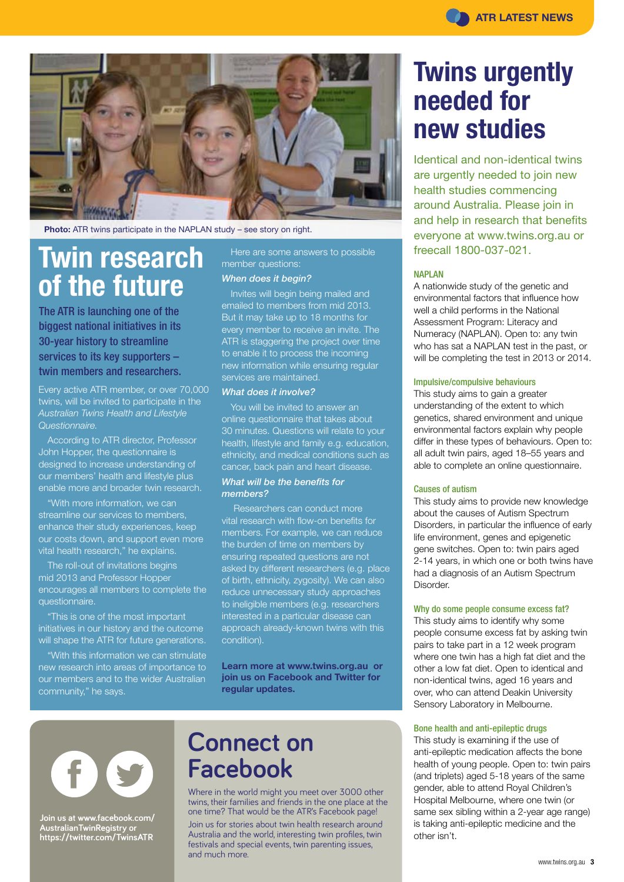

**Photo:** ATR twins participate in the NAPLAN study – see story on right.

# **Twin research of the future**

The ATR is launching one of the biggest national initiatives in its 30-year history to streamline services to its key supporters – twin members and researchers.

Every active ATR member, or over 70,000 twins, will be invited to participate in the *Australian Twins Health and Lifestyle Questionnaire.* 

According to ATR director, Professor John Hopper, the questionnaire is designed to increase understanding of our members' health and lifestyle plus enable more and broader twin research.

"With more information, we can streamline our services to members. enhance their study experiences, keep our costs down, and support even more vital health research," he explains.

The roll-out of invitations begins mid 2013 and Professor Hopper encourages all members to complete the questionnaire.

"This is one of the most important initiatives in our history and the outcome will shape the ATR for future generations.

"With this information we can stimulate new research into areas of importance to our members and to the wider Australian community," he says.

Here are some answers to possible member questions:

### *When does it begin?*

Invites will begin being mailed and emailed to members from mid 2013. But it may take up to 18 months for every member to receive an invite. The ATR is staggering the project over time to enable it to process the incoming new information while ensuring regular services are maintained.

### *What does it involve?*

You will be invited to answer an online questionnaire that takes about 30 minutes. Questions will relate to your health, lifestyle and family e.g. education, ethnicity, and medical conditions such as cancer, back pain and heart disease. *What will be the benefits for* 

### *members?*

Researchers can conduct more vital research with flow-on benefits for members. For example, we can reduce the burden of time on members by ensuring repeated questions are not asked by different researchers (e.g. place of birth, ethnicity, zygosity). We can also reduce unnecessary study approaches to ineligible members (e.g. researchers interested in a particular disease can approach already-known twins with this condition).

**Learn more at www.twins.org.au or join us on Facebook and Twitter for regular updates.**



**Join us at www.facebook.com/ AustralianTwinRegistry or https://twitter.com/TwinsATR**

# **Connect on Facebook**

Where in the world might you meet over 3000 other twins, their families and friends in the one place at the one time? That would be the ATR's Facebook page!

Join us for stories about twin health research around Australia and the world, interesting twin profiles, twin festivals and special events, twin parenting issues, and much more.

# **Twins urgently needed for new studies**

Identical and non-identical twins are urgently needed to join new health studies commencing around Australia. Please join in and help in research that benefits everyone at www.twins.org.au or freecall 1800-037-021.

#### NAPLAN

A nationwide study of the genetic and environmental factors that influence how well a child performs in the National Assessment Program: Literacy and Numeracy (NAPLAN). Open to: any twin who has sat a NAPLAN test in the past, or will be completing the test in 2013 or 2014.

#### Impulsive/compulsive behaviours

This study aims to gain a greater understanding of the extent to which genetics, shared environment and unique environmental factors explain why people differ in these types of behaviours. Open to: all adult twin pairs, aged 18–55 years and able to complete an online questionnaire.

#### Causes of autism

This study aims to provide new knowledge about the causes of Autism Spectrum Disorders, in particular the influence of early life environment, genes and epigenetic gene switches. Open to: twin pairs aged 2-14 years, in which one or both twins have had a diagnosis of an Autism Spectrum Disorder.

#### Why do some people consume excess fat?

This study aims to identify why some people consume excess fat by asking twin pairs to take part in a 12 week program where one twin has a high fat diet and the other a low fat diet. Open to identical and non-identical twins, aged 16 years and over, who can attend Deakin University Sensory Laboratory in Melbourne.

### Bone health and anti-epileptic drugs

This study is examining if the use of anti-epileptic medication affects the bone health of young people. Open to: twin pairs (and triplets) aged 5-18 years of the same gender, able to attend Royal Children's Hospital Melbourne, where one twin (or same sex sibling within a 2-year age range) is taking anti-epileptic medicine and the other isn't.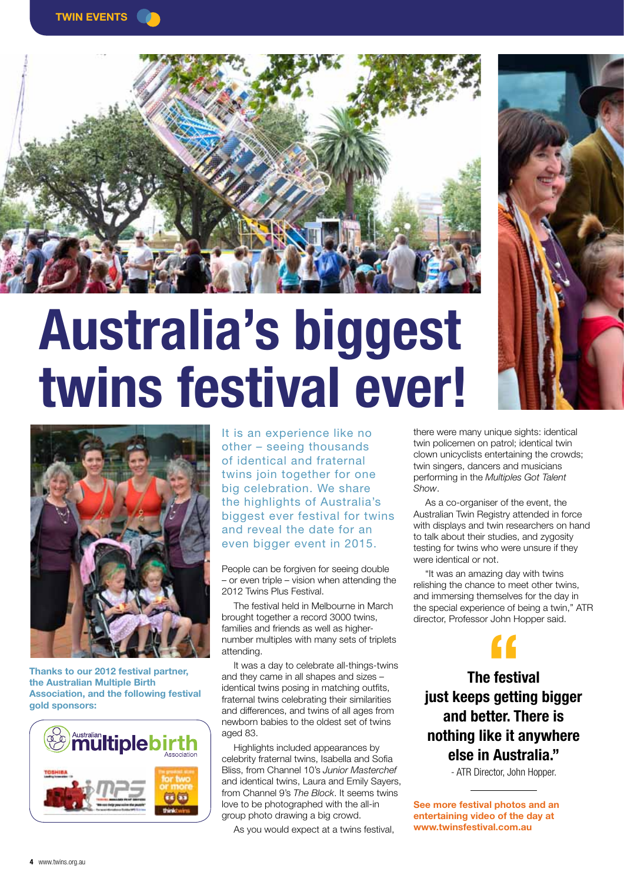



# **Australia's biggest twins festival ever!**



**Thanks to our 2012 festival partner, the Australian Multiple Birth Association, and the following festival gold sponsors:**



It is an experience like no other – seeing thousands of identical and fraternal twins join together for one big celebration. We share the highlights of Australia's biggest ever festival for twins and reveal the date for an even bigger event in 2015.

People can be forgiven for seeing double – or even triple – vision when attending the 2012 Twins Plus Festival.

The festival held in Melbourne in March brought together a record 3000 twins, families and friends as well as highernumber multiples with many sets of triplets attending.

It was a day to celebrate all-things-twins and they came in all shapes and sizes – identical twins posing in matching outfits, fraternal twins celebrating their similarities and differences, and twins of all ages from newborn babies to the oldest set of twins aged 83.

Highlights included appearances by celebrity fraternal twins, Isabella and Sofia Bliss, from Channel 10's *Junior Masterchef* and identical twins, Laura and Emily Sayers, from Channel 9's *The Block*. It seems twins love to be photographed with the all-in group photo drawing a big crowd.

As you would expect at a twins festival,



As a co-organiser of the event, the Australian Twin Registry attended in force with displays and twin researchers on hand to talk about their studies, and zygosity testing for twins who were unsure if they were identical or not.

*Show*.

"It was an amazing day with twins relishing the chance to meet other twins, and immersing themselves for the day in the special experience of being a twin," ATR director, Professor John Hopper said.

**just keeps getting bigger The festival f**<br>**()**<br>**c** festi<br>**s** getti **and better. There is nothing like it anywhere else in Australia."** 

- ATR Director, John Hopper.

**See more festival photos and an entertaining video of the day at www.twinsfestival.com.au**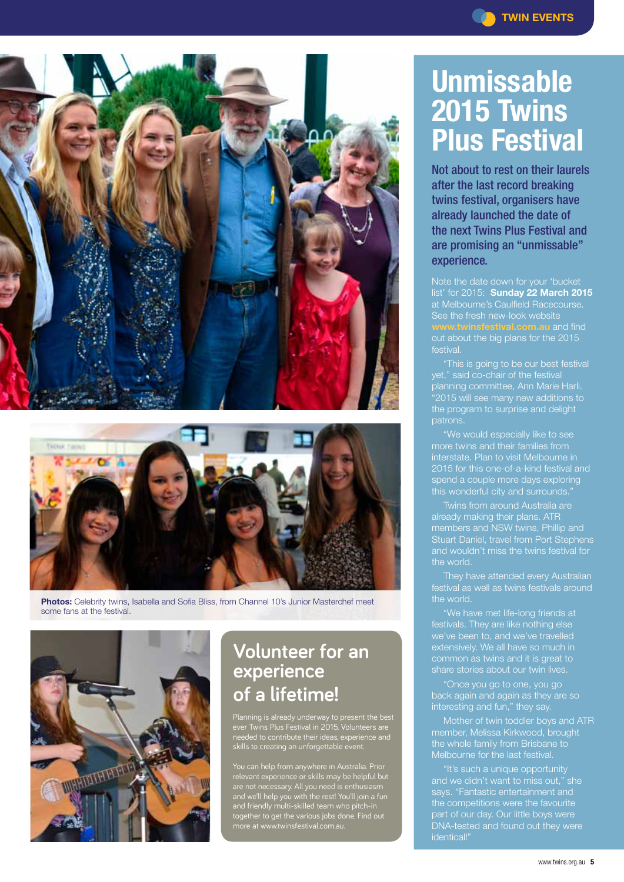



**Photos:** Celebrity twins, Isabella and Sofia Bliss, from Channel 10's Junior Masterchef meet some fans at the festival.



# **Volunteer for an experience of a lifetime!**

Planning is already underway to present the best ever Twins Plus Festival in 2015. Volunteers are needed to contribute their ideas, experience and skills to creating an unforgettable event.

You can help from anywhere in Australia. Prior relevant experience or skills may be helpful but are not necessary. All you need is enthusiasm and we'll help you with the rest! You'll join a fun and friendly multi-skilled team who pitch-in together to get the various jobs done. Find out more at www.twinsfestival.com.au.

# **Unmissable 2015 Twins Plus Festival**

Not about to rest on their laurels after the last record breaking twins festival, organisers have already launched the date of the next Twins Plus Festival and are promising an "unmissable" experience.

Note the date down for your 'bucket list' for 2015: **Sunday 22 March 2015** at Melbourne's Caulfield Racecourse. See the fresh new-look website **al.com.au** and find out about the big plans for the 2015 festival.

"This is going to be our best festival planning committee, Ann Marie Harli. "2015 will see many new additions to the program to surprise and delight patrons.

interstate. Plan to visit Melbourne in spend a couple more days exploring this wonderful city and surrounds."

already making their plans. ATR members and NSW twins, Phillip and Stuart Daniel, travel from Port Stephens the world.

festivals. They are like nothing else common as twins and it is great to

"Once you go to one, you go back again and again as they are so

Mother of twin toddler boys and ATR member, Melissa Kirkwood, brought the whole family from Brisbane to Melbourne for the last festival.

"It's such a unique opportunity and we didn't want to miss out," she the competitions were the favourite part of our day. Our little boys were DNA-tested and found out they were identical!"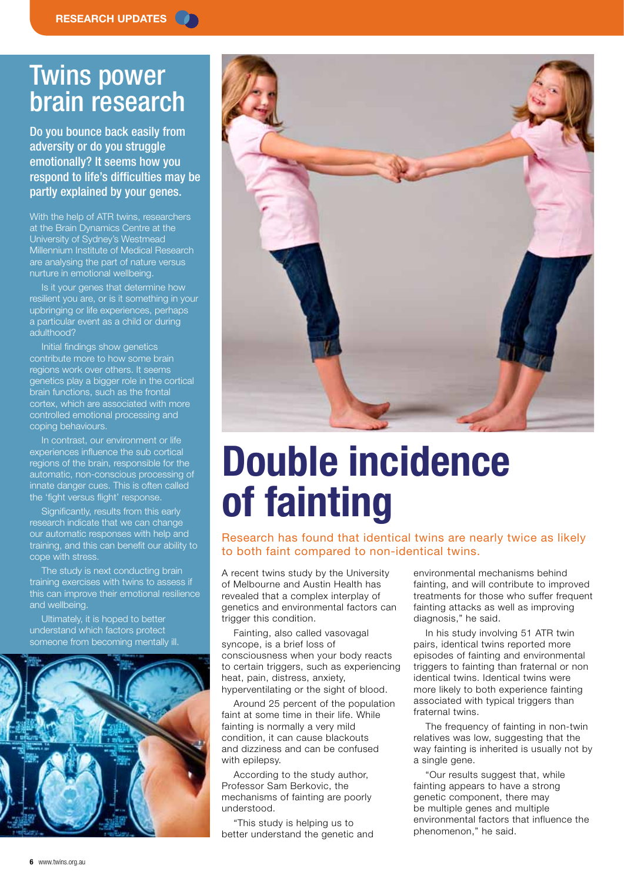# Twins power brain research

Do you bounce back easily from adversity or do you struggle emotionally? It seems how you respond to life's difficulties may be partly explained by your genes.

With the help of ATR twins, researchers at the Brain Dynamics Centre at the University of Sydney's Westmead Millennium Institute of Medical Research are analysing the part of nature versus nurture in emotional wellbeing.

Is it your genes that determine how resilient you are, or is it something in your upbringing or life experiences, perhaps a particular event as a child or during adulthood?

Initial findings show genetics contribute more to how some brain regions work over others. It seems genetics play a bigger role in the cortical brain functions, such as the frontal cortex, which are associated with more controlled emotional processing and coping behaviours.

In contrast, our environment or life experiences influence the sub cortical regions of the brain, responsible for the automatic, non-conscious processing of innate danger cues. This is often called the 'fight versus flight' response.

Significantly, results from this early research indicate that we can change our automatic responses with help and training, and this can benefit our ability to cope with stress.

The study is next conducting brain training exercises with twins to assess if this can improve their emotional resilience and wellbeing.

Ultimately, it is hoped to better understand which factors protect someone from becoming mentally ill.





# **Double incidence of fainting**

### Research has found that identical twins are nearly twice as likely to both faint compared to non-identical twins.

A recent twins study by the University of Melbourne and Austin Health has revealed that a complex interplay of genetics and environmental factors can trigger this condition.

Fainting, also called vasovagal syncope, is a brief loss of consciousness when your body reacts to certain triggers, such as experiencing heat, pain, distress, anxiety, hyperventilating or the sight of blood.

Around 25 percent of the population faint at some time in their life. While fainting is normally a very mild condition, it can cause blackouts and dizziness and can be confused with epilepsy.

According to the study author, Professor Sam Berkovic, the mechanisms of fainting are poorly understood.

"This study is helping us to better understand the genetic and environmental mechanisms behind fainting, and will contribute to improved treatments for those who suffer frequent fainting attacks as well as improving diagnosis," he said.

In his study involving 51 ATR twin pairs, identical twins reported more episodes of fainting and environmental triggers to fainting than fraternal or non identical twins. Identical twins were more likely to both experience fainting associated with typical triggers than fraternal twins.

The frequency of fainting in non-twin relatives was low, suggesting that the way fainting is inherited is usually not by a single gene.

"Our results suggest that, while fainting appears to have a strong genetic component, there may be multiple genes and multiple environmental factors that influence the phenomenon," he said.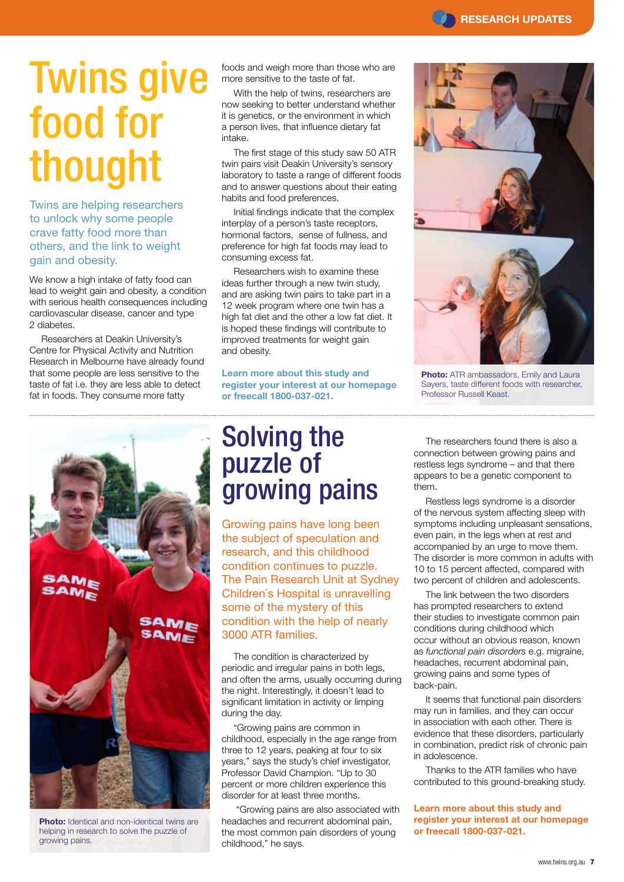# Twins give food for thought

Twins are helping researchers to unlock why some people crave fatty food more than others, and the link to weight gain and obesity.

We know a high intake of fatty food can lead to weight gain and obesity, a condition with serious health consequences including cardiovascular disease, cancer and type 2 diabetes.

Researchers at Deakin University's Centre for Physical Activity and Nutrition Research in Melbourne have already found that some people are less sensitive to the taste of fat i.e. they are less able to detect fat in foods. They consume more fatty

foods and weigh more than those who are more sensitive to the taste of fat.

With the help of twins, researchers are now seeking to better understand whether it is genetics, or the environment in which a person lives, that influence dietary fat intake.

The first stage of this study saw 50 ATR twin pairs visit Deakin University's sensory laboratory to taste a range of different foods and to answer questions about their eating habits and food preferences.

Initial findings indicate that the complex interplay of a person's taste receptors, hormonal factors, sense of fullness, and preference for high fat foods may lead to consuming excess fat.

Researchers wish to examine these ideas further through a new twin study, and are asking twin pairs to take part in a 12 week program where one twin has a high fat diet and the other a low fat diet. It is hoped these findings will contribute to improved treatments for weight gain and obesity.

**Learn more about this study and register your interest at our homepage or freecall 1800-037-021.**





**Photo:** ATR ambassadors, Emily and Laura Sayers, taste different foods with researcher, Professor Russell Keast.



**Photo:** Identical and non-identical twins are helping in research to solve the puzzle of growing pains.

# Solving the puzzle of growing pains

Growing pains have long been the subject of speculation and research, and this childhood condition continues to puzzle. The Pain Research Unit at Sydney Children`s Hospital is unravelling some of the mystery of this condition with the help of nearly 3000 ATR families.

The condition is characterized by periodic and irregular pains in both legs, and often the arms, usually occurring during the night. Interestingly, it doesn't lead to significant limitation in activity or limping during the day.

"Growing pains are common in childhood, especially in the age range from three to 12 years, peaking at four to six years," says the study's chief investigator, Professor David Champion. "Up to 30 percent or more children experience this disorder for at least three months.

 "Growing pains are also associated with headaches and recurrent abdominal pain, the most common pain disorders of young childhood," he says.

The researchers found there is also a connection between growing pains and restless legs syndrome – and that there appears to be a genetic component to them.

Restless legs syndrome is a disorder of the nervous system affecting sleep with symptoms including unpleasant sensations, even pain, in the legs when at rest and accompanied by an urge to move them. The disorder is more common in adults with 10 to 15 percent affected, compared with two percent of children and adolescents.

The link between the two disorders has prompted researchers to extend their studies to investigate common pain conditions during childhood which occur without an obvious reason, known as *functional pain disorders* e.g. migraine, headaches, recurrent abdominal pain, growing pains and some types of back-pain.

It seems that functional pain disorders may run in families, and they can occur in association with each other. There is evidence that these disorders, particularly in combination, predict risk of chronic pain in adolescence.

Thanks to the ATR families who have contributed to this ground-breaking study.

**Learn more about this study and register your interest at our homepage or freecall 1800-037-021.**